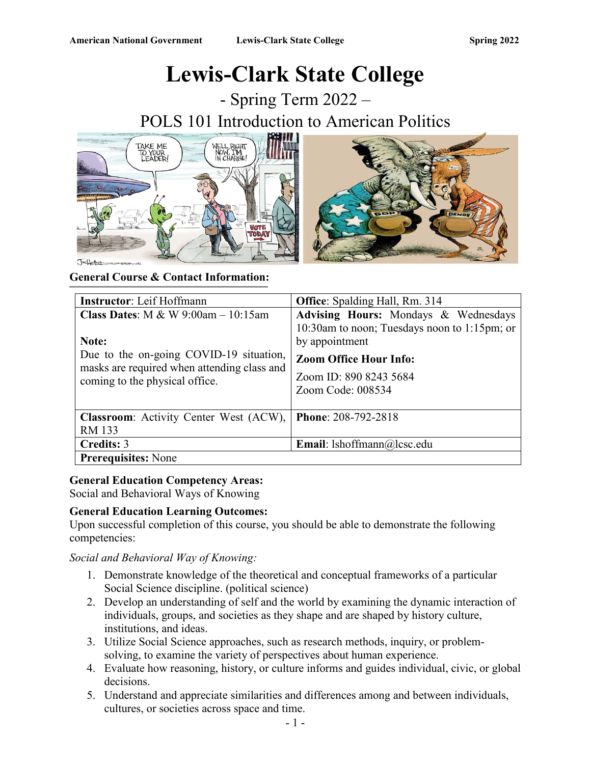# **Lewis-Clark State College**

- Spring Term 2022 – POLS 101 Introduction to American Politics





| <b>Instructor:</b> Leif Hoffmann                                                                                                                                                  | <b>Office:</b> Spalding Hall, Rm. 314                                                                                                                                                  |
|-----------------------------------------------------------------------------------------------------------------------------------------------------------------------------------|----------------------------------------------------------------------------------------------------------------------------------------------------------------------------------------|
| <b>Class Dates:</b> M & W $9:00am - 10:15am$<br>Note:<br>Due to the on-going COVID-19 situation,<br>masks are required when attending class and<br>coming to the physical office. | Advising Hours: Mondays & Wednesdays<br>10:30am to noon; Tuesdays noon to 1:15pm; or<br>by appointment<br><b>Zoom Office Hour Info:</b><br>Zoom ID: 890 8243 5684<br>Zoom Code: 008534 |
| <b>Classroom:</b> Activity Center West (ACW),<br><b>RM 133</b>                                                                                                                    | Phone: 208-792-2818                                                                                                                                                                    |
| Credits: 3                                                                                                                                                                        | <b>Email:</b> lshoffmann@lcsc.edu                                                                                                                                                      |
| <b>Prerequisites:</b> None                                                                                                                                                        |                                                                                                                                                                                        |

# **General Education Competency Areas:**

Social and Behavioral Ways of Knowing

# **General Education Learning Outcomes:**

Upon successful completion of this course, you should be able to demonstrate the following competencies:

### *Social and Behavioral Way of Knowing:*

- 1. Demonstrate knowledge of the theoretical and conceptual frameworks of a particular Social Science discipline. (political science)
- 2. Develop an understanding of self and the world by examining the dynamic interaction of individuals, groups, and societies as they shape and are shaped by history culture, institutions, and ideas.
- 3. Utilize Social Science approaches, such as research methods, inquiry, or problemsolving, to examine the variety of perspectives about human experience.
- 4. Evaluate how reasoning, history, or culture informs and guides individual, civic, or global decisions.
- 5. Understand and appreciate similarities and differences among and between individuals, cultures, or societies across space and time.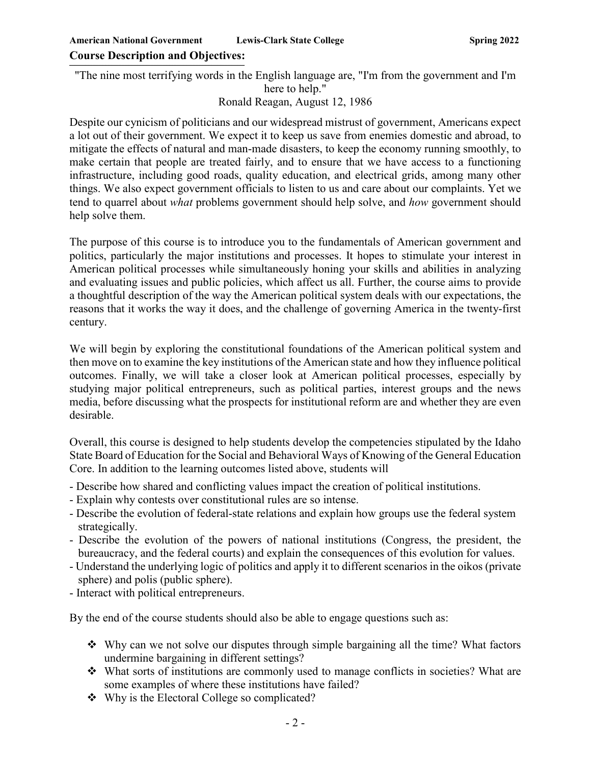"The nine most terrifying words in the English language are, "I'm from the government and I'm here to help."

Ronald Reagan, August 12, 1986

Despite our cynicism of politicians and our widespread mistrust of government, Americans expect a lot out of their government. We expect it to keep us save from enemies domestic and abroad, to mitigate the effects of natural and man-made disasters, to keep the economy running smoothly, to make certain that people are treated fairly, and to ensure that we have access to a functioning infrastructure, including good roads, quality education, and electrical grids, among many other things. We also expect government officials to listen to us and care about our complaints. Yet we tend to quarrel about *what* problems government should help solve, and *how* government should help solve them.

The purpose of this course is to introduce you to the fundamentals of American government and politics, particularly the major institutions and processes. It hopes to stimulate your interest in American political processes while simultaneously honing your skills and abilities in analyzing and evaluating issues and public policies, which affect us all. Further, the course aims to provide a thoughtful description of the way the American political system deals with our expectations, the reasons that it works the way it does, and the challenge of governing America in the twenty-first century.

We will begin by exploring the constitutional foundations of the American political system and then move on to examine the key institutions of the American state and how they influence political outcomes. Finally, we will take a closer look at American political processes, especially by studying major political entrepreneurs, such as political parties, interest groups and the news media, before discussing what the prospects for institutional reform are and whether they are even desirable.

Overall, this course is designed to help students develop the competencies stipulated by the Idaho State Board of Education for the Social and Behavioral Ways of Knowing of the General Education Core. In addition to the learning outcomes listed above, students will

- Describe how shared and conflicting values impact the creation of political institutions.
- Explain why contests over constitutional rules are so intense.
- Describe the evolution of federal-state relations and explain how groups use the federal system strategically.
- Describe the evolution of the powers of national institutions (Congress, the president, the bureaucracy, and the federal courts) and explain the consequences of this evolution for values.
- Understand the underlying logic of politics and apply it to different scenarios in the oikos (private sphere) and polis (public sphere).
- Interact with political entrepreneurs.

By the end of the course students should also be able to engage questions such as:

- Why can we not solve our disputes through simple bargaining all the time? What factors undermine bargaining in different settings?
- $\triangleleft$  What sorts of institutions are commonly used to manage conflicts in societies? What are some examples of where these institutions have failed?
- Why is the Electoral College so complicated?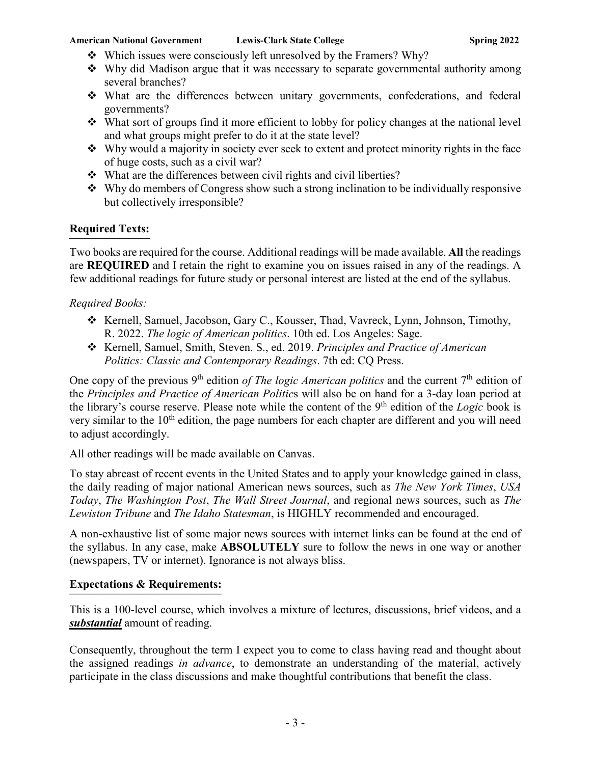- Which issues were consciously left unresolved by the Framers? Why?
- Why did Madison argue that it was necessary to separate governmental authority among several branches?
- What are the differences between unitary governments, confederations, and federal governments?
- What sort of groups find it more efficient to lobby for policy changes at the national level and what groups might prefer to do it at the state level?
- $\cdot$  Why would a majority in society ever seek to extent and protect minority rights in the face of huge costs, such as a civil war?
- What are the differences between civil rights and civil liberties?
- $\triangleq$  Why do members of Congress show such a strong inclination to be individually responsive but collectively irresponsible?

#### **Required Texts: \_\_\_\_\_\_\_\_\_\_\_\_\_\_\_\_\_\_\_\_\_\_\_\_\_\_\_\_\_\_\_\_\_\_\_\_\_\_\_\_\_\_\_\_\_\_\_\_\_\_\_\_\_\_\_\_**

Two books are required for the course. Additional readings will be made available. **All** the readings are **REQUIRED** and I retain the right to examine you on issues raised in any of the readings. A few additional readings for future study or personal interest are listed at the end of the syllabus.

### *Required Books:*

- \* Kernell, Samuel, Jacobson, Gary C., Kousser, Thad, Vavreck, Lynn, Johnson, Timothy, R. 2022. *The logic of American politics*. 10th ed. Los Angeles: Sage.
- Kernell, Samuel, Smith, Steven. S., ed. 2019. *Principles and Practice of American Politics: Classic and Contemporary Readings*. 7th ed: CQ Press.

One copy of the previous 9<sup>th</sup> edition *of The logic American politics* and the current 7<sup>th</sup> edition of the *Principles and Practice of American Politic*s will also be on hand for a 3-day loan period at the library's course reserve. Please note while the content of the 9<sup>th</sup> edition of the *Logic* book is very similar to the  $10<sup>th</sup>$  edition, the page numbers for each chapter are different and you will need to adjust accordingly.

All other readings will be made available on Canvas.

To stay abreast of recent events in the United States and to apply your knowledge gained in class, the daily reading of major national American news sources, such as *The New York Times*, *USA Today*, *The Washington Post*, *The Wall Street Journal*, and regional news sources, such as *The Lewiston Tribune* and *The Idaho Statesman*, is HIGHLY recommended and encouraged.

A non-exhaustive list of some major news sources with internet links can be found at the end of the syllabus. In any case, make **ABSOLUTELY** sure to follow the news in one way or another (newspapers, TV or internet). Ignorance is not always bliss.

#### **Expectations & Requirements: \_\_\_\_\_\_\_\_\_\_\_\_\_\_\_\_\_\_\_\_\_\_\_\_\_\_\_\_\_\_\_\_\_\_\_\_\_\_\_\_\_\_\_\_\_\_\_\_\_\_\_\_\_\_\_\_\_\_\_\_\_\_\_\_\_\_\_\_\_\_\_\_\_\_\_\_\_\_\_\_\_\_\_\_\_\_\_\_\_\_\_\_\_\_\_\_\_\_\_\_\_\_\_\_\_**

This is a 100-level course, which involves a mixture of lectures, discussions, brief videos, and a *substantial* amount of reading.

Consequently, throughout the term I expect you to come to class having read and thought about the assigned readings *in advance*, to demonstrate an understanding of the material, actively participate in the class discussions and make thoughtful contributions that benefit the class.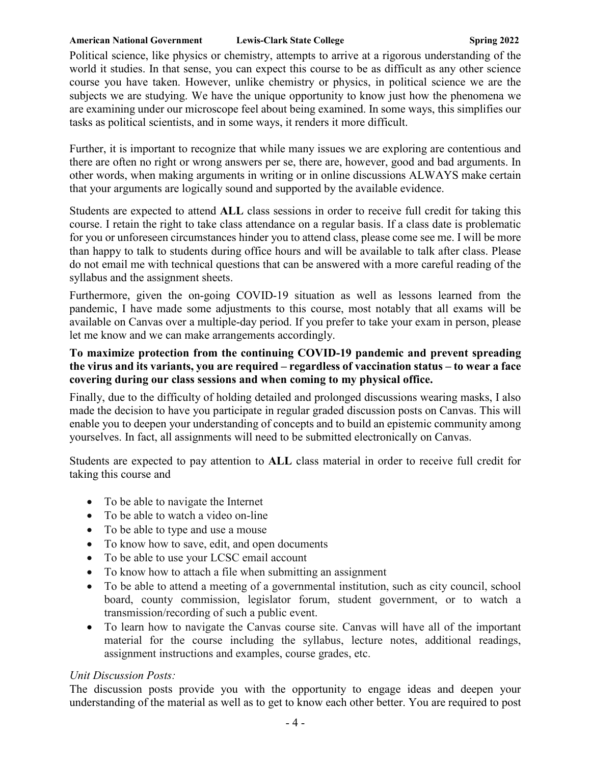Political science, like physics or chemistry, attempts to arrive at a rigorous understanding of the world it studies. In that sense, you can expect this course to be as difficult as any other science course you have taken. However, unlike chemistry or physics, in political science we are the subjects we are studying. We have the unique opportunity to know just how the phenomena we are examining under our microscope feel about being examined. In some ways, this simplifies our tasks as political scientists, and in some ways, it renders it more difficult.

Further, it is important to recognize that while many issues we are exploring are contentious and there are often no right or wrong answers per se, there are, however, good and bad arguments. In other words, when making arguments in writing or in online discussions ALWAYS make certain that your arguments are logically sound and supported by the available evidence.

Students are expected to attend **ALL** class sessions in order to receive full credit for taking this course. I retain the right to take class attendance on a regular basis. If a class date is problematic for you or unforeseen circumstances hinder you to attend class, please come see me. I will be more than happy to talk to students during office hours and will be available to talk after class. Please do not email me with technical questions that can be answered with a more careful reading of the syllabus and the assignment sheets.

Furthermore, given the on-going COVID-19 situation as well as lessons learned from the pandemic, I have made some adjustments to this course, most notably that all exams will be available on Canvas over a multiple-day period. If you prefer to take your exam in person, please let me know and we can make arrangements accordingly.

# **To maximize protection from the continuing COVID-19 pandemic and prevent spreading the virus and its variants, you are required – regardless of vaccination status – to wear a face covering during our class sessions and when coming to my physical office.**

Finally, due to the difficulty of holding detailed and prolonged discussions wearing masks, I also made the decision to have you participate in regular graded discussion posts on Canvas. This will enable you to deepen your understanding of concepts and to build an epistemic community among yourselves. In fact, all assignments will need to be submitted electronically on Canvas.

Students are expected to pay attention to **ALL** class material in order to receive full credit for taking this course and

- To be able to navigate the Internet
- To be able to watch a video on-line
- To be able to type and use a mouse
- To know how to save, edit, and open documents
- To be able to use your LCSC email account
- To know how to attach a file when submitting an assignment
- To be able to attend a meeting of a governmental institution, such as city council, school board, county commission, legislator forum, student government, or to watch a transmission/recording of such a public event.
- To learn how to navigate the Canvas course site. Canvas will have all of the important material for the course including the syllabus, lecture notes, additional readings, assignment instructions and examples, course grades, etc.

# *Unit Discussion Posts:*

The discussion posts provide you with the opportunity to engage ideas and deepen your understanding of the material as well as to get to know each other better. You are required to post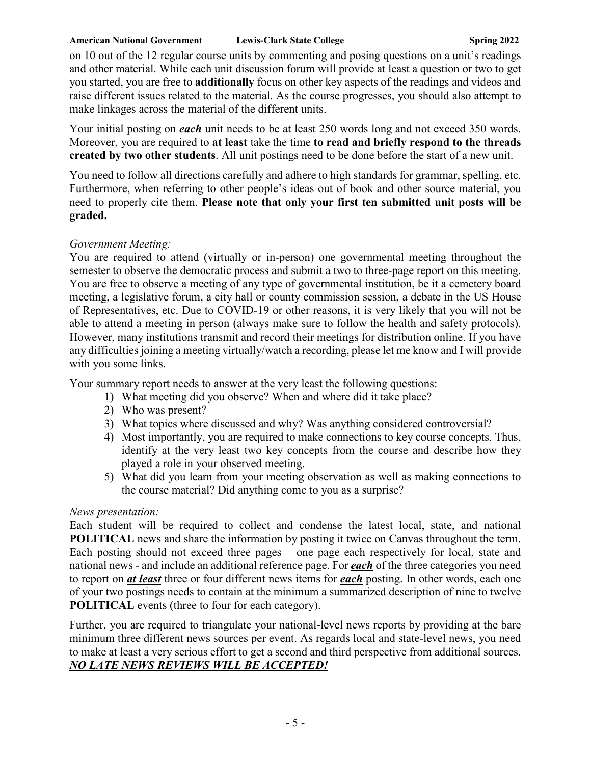on 10 out of the 12 regular course units by commenting and posing questions on a unit's readings and other material. While each unit discussion forum will provide at least a question or two to get you started, you are free to **additionally** focus on other key aspects of the readings and videos and raise different issues related to the material. As the course progresses, you should also attempt to make linkages across the material of the different units.

Your initial posting on *each* unit needs to be at least 250 words long and not exceed 350 words. Moreover, you are required to **at least** take the time **to read and briefly respond to the threads created by two other students**. All unit postings need to be done before the start of a new unit.

You need to follow all directions carefully and adhere to high standards for grammar, spelling, etc. Furthermore, when referring to other people's ideas out of book and other source material, you need to properly cite them. **Please note that only your first ten submitted unit posts will be graded.**

# *Government Meeting:*

You are required to attend (virtually or in-person) one governmental meeting throughout the semester to observe the democratic process and submit a two to three-page report on this meeting. You are free to observe a meeting of any type of governmental institution, be it a cemetery board meeting, a legislative forum, a city hall or county commission session, a debate in the US House of Representatives, etc. Due to COVID-19 or other reasons, it is very likely that you will not be able to attend a meeting in person (always make sure to follow the health and safety protocols). However, many institutions transmit and record their meetings for distribution online. If you have any difficulties joining a meeting virtually/watch a recording, please let me know and I will provide with you some links.

Your summary report needs to answer at the very least the following questions:

- 1) What meeting did you observe? When and where did it take place?
- 2) Who was present?
- 3) What topics where discussed and why? Was anything considered controversial?
- 4) Most importantly, you are required to make connections to key course concepts. Thus, identify at the very least two key concepts from the course and describe how they played a role in your observed meeting.
- 5) What did you learn from your meeting observation as well as making connections to the course material? Did anything come to you as a surprise?

# *News presentation:*

Each student will be required to collect and condense the latest local, state, and national **POLITICAL** news and share the information by posting it twice on Canvas throughout the term. Each posting should not exceed three pages – one page each respectively for local, state and national news - and include an additional reference page. For *each* of the three categories you need to report on *at least* three or four different news items for *each* posting. In other words, each one of your two postings needs to contain at the minimum a summarized description of nine to twelve **POLITICAL** events (three to four for each category).

Further, you are required to triangulate your national-level news reports by providing at the bare minimum three different news sources per event. As regards local and state-level news, you need to make at least a very serious effort to get a second and third perspective from additional sources. *NO LATE NEWS REVIEWS WILL BE ACCEPTED!*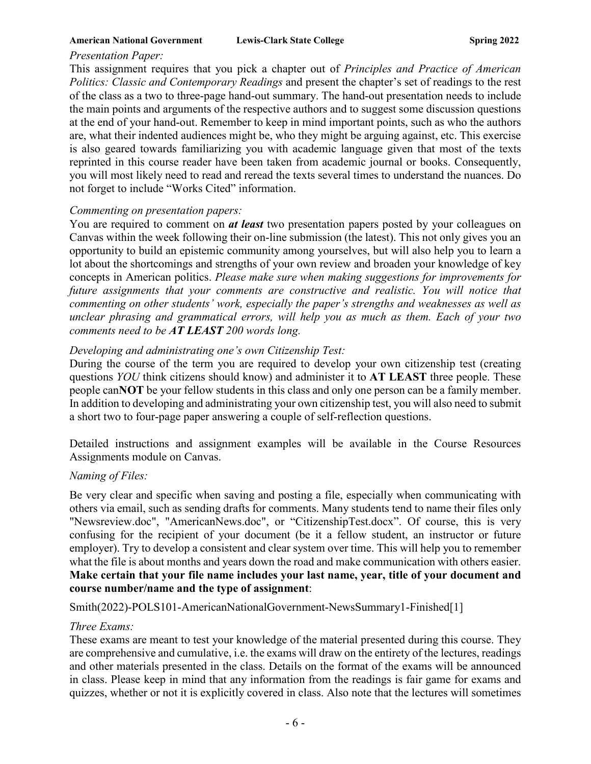### *Presentation Paper:*

This assignment requires that you pick a chapter out of *Principles and Practice of American Politics: Classic and Contemporary Readings* and present the chapter's set of readings to the rest of the class as a two to three-page hand-out summary. The hand-out presentation needs to include the main points and arguments of the respective authors and to suggest some discussion questions at the end of your hand-out. Remember to keep in mind important points, such as who the authors are, what their indented audiences might be, who they might be arguing against, etc. This exercise is also geared towards familiarizing you with academic language given that most of the texts reprinted in this course reader have been taken from academic journal or books. Consequently, you will most likely need to read and reread the texts several times to understand the nuances. Do not forget to include "Works Cited" information.

### *Commenting on presentation papers:*

You are required to comment on *at least* two presentation papers posted by your colleagues on Canvas within the week following their on-line submission (the latest). This not only gives you an opportunity to build an epistemic community among yourselves, but will also help you to learn a lot about the shortcomings and strengths of your own review and broaden your knowledge of key concepts in American politics. *Please make sure when making suggestions for improvements for future assignments that your comments are constructive and realistic. You will notice that commenting on other students' work, especially the paper's strengths and weaknesses as well as unclear phrasing and grammatical errors, will help you as much as them. Each of your two comments need to be AT LEAST 200 words long.*

# *Developing and administrating one's own Citizenship Test:*

During the course of the term you are required to develop your own citizenship test (creating questions *YOU* think citizens should know) and administer it to **AT LEAST** three people. These people can**NOT** be your fellow students in this class and only one person can be a family member. In addition to developing and administrating your own citizenship test, you will also need to submit a short two to four-page paper answering a couple of self-reflection questions.

Detailed instructions and assignment examples will be available in the Course Resources Assignments module on Canvas.

# *Naming of Files:*

Be very clear and specific when saving and posting a file, especially when communicating with others via email, such as sending drafts for comments. Many students tend to name their files only "Newsreview.doc", "AmericanNews.doc", or "CitizenshipTest.docx". Of course, this is very confusing for the recipient of your document (be it a fellow student, an instructor or future employer). Try to develop a consistent and clear system over time. This will help you to remember what the file is about months and years down the road and make communication with others easier. **Make certain that your file name includes your last name, year, title of your document and course number/name and the type of assignment**:

Smith(2022)-POLS101-AmericanNationalGovernment-NewsSummary1-Finished[1]

# *Three Exams:*

These exams are meant to test your knowledge of the material presented during this course. They are comprehensive and cumulative, i.e. the exams will draw on the entirety of the lectures, readings and other materials presented in the class. Details on the format of the exams will be announced in class. Please keep in mind that any information from the readings is fair game for exams and quizzes, whether or not it is explicitly covered in class. Also note that the lectures will sometimes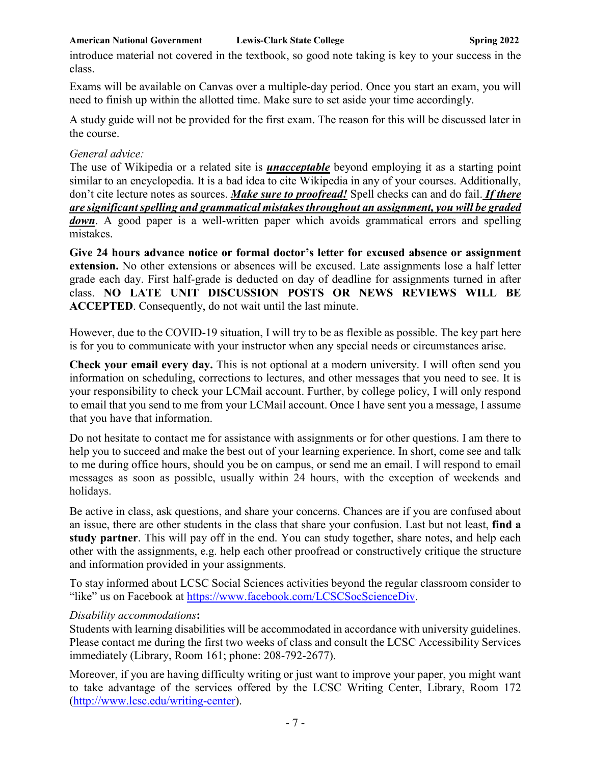introduce material not covered in the textbook, so good note taking is key to your success in the class.

Exams will be available on Canvas over a multiple-day period. Once you start an exam, you will need to finish up within the allotted time. Make sure to set aside your time accordingly.

A study guide will not be provided for the first exam. The reason for this will be discussed later in the course.

### *General advice:*

The use of Wikipedia or a related site is *unacceptable* beyond employing it as a starting point similar to an encyclopedia. It is a bad idea to cite Wikipedia in any of your courses. Additionally, don't cite lecture notes as sources. *Make sure to proofread!* Spell checks can and do fail. *If there are significant spelling and grammatical mistakes throughout an assignment, you will be graded down*. A good paper is a well-written paper which avoids grammatical errors and spelling mistakes.

**Give 24 hours advance notice or formal doctor's letter for excused absence or assignment extension.** No other extensions or absences will be excused. Late assignments lose a half letter grade each day. First half-grade is deducted on day of deadline for assignments turned in after class. **NO LATE UNIT DISCUSSION POSTS OR NEWS REVIEWS WILL BE ACCEPTED**. Consequently, do not wait until the last minute.

However, due to the COVID-19 situation, I will try to be as flexible as possible. The key part here is for you to communicate with your instructor when any special needs or circumstances arise.

**Check your email every day.** This is not optional at a modern university. I will often send you information on scheduling, corrections to lectures, and other messages that you need to see. It is your responsibility to check your LCMail account. Further, by college policy, I will only respond to email that you send to me from your LCMail account. Once I have sent you a message, I assume that you have that information.

Do not hesitate to contact me for assistance with assignments or for other questions. I am there to help you to succeed and make the best out of your learning experience. In short, come see and talk to me during office hours, should you be on campus, or send me an email. I will respond to email messages as soon as possible, usually within 24 hours, with the exception of weekends and holidays.

Be active in class, ask questions, and share your concerns. Chances are if you are confused about an issue, there are other students in the class that share your confusion. Last but not least, **find a study partner**. This will pay off in the end. You can study together, share notes, and help each other with the assignments, e.g. help each other proofread or constructively critique the structure and information provided in your assignments.

To stay informed about LCSC Social Sciences activities beyond the regular classroom consider to "like" us on Facebook at [https://www.facebook.com/LCSCSocScienceDiv.](https://www.facebook.com/LCSCSocScienceDiv)

# *Disability accommodations***:**

Students with learning disabilities will be accommodated in accordance with university guidelines. Please contact me during the first two weeks of class and consult the LCSC Accessibility Services immediately (Library, Room 161; phone: 208-792-2677).

Moreover, if you are having difficulty writing or just want to improve your paper, you might want to take advantage of the services offered by the LCSC Writing Center, Library, Room 172 [\(http://www.lcsc.edu/writing-center\)](http://www.lcsc.edu/writing-center).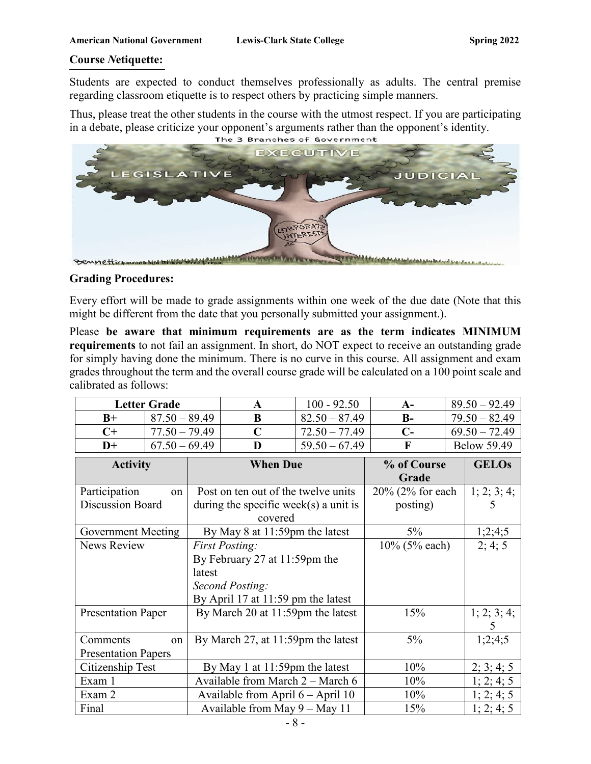#### **Course** *N***etiquette: \_\_\_\_\_\_\_\_\_\_\_\_\_\_\_\_\_\_\_\_\_\_\_\_\_\_\_\_\_\_\_\_\_\_\_\_\_\_\_\_\_\_\_\_\_\_\_\_\_\_\_\_\_\_\_\_\_\_\_\_\_\_\_\_\_\_**

Students are expected to conduct themselves professionally as adults. The central premise regarding classroom etiquette is to respect others by practicing simple manners.

Thus, please treat the other students in the course with the utmost respect. If you are participating in a debate, please criticize your opponent's arguments rather than the opponent's identity.



### **Grading Procedures:**

Every effort will be made to grade assignments within one week of the due date (Note that this might be different from the date that you personally submitted your assignment.).

Please **be aware that minimum requirements are as the term indicates MINIMUM requirements** to not fail an assignment. In short, do NOT expect to receive an outstanding grade for simply having done the minimum. There is no curve in this course. All assignment and exam grades throughout the term and the overall course grade will be calculated on a 100 point scale and calibrated as follows:

|                                        | <b>Letter Grade</b> |                                                                                     | $\mathbf A$ | $100 - 92.50$        | $A-$                    | $89.50 - 92.49$    |  |
|----------------------------------------|---------------------|-------------------------------------------------------------------------------------|-------------|----------------------|-------------------------|--------------------|--|
| $B+$                                   | $87.50 - 89.49$     |                                                                                     | B           | $82.50 - 87.49$      | $B-$                    | $79.50 - 82.49$    |  |
| $C+$                                   | $77.50 - 79.49$     |                                                                                     | $\mathbf C$ | $72.50 - 77.49$      | $69.50 - 72.49$<br>$C-$ |                    |  |
| $D+$                                   | $67.50 - 69.49$     |                                                                                     | D           | $59.50 - 67.49$      | F                       | <b>Below 59.49</b> |  |
| <b>Activity</b>                        |                     | <b>When Due</b>                                                                     |             | % of Course<br>Grade | <b>GELOS</b>            |                    |  |
| Participation                          | on                  | Post on ten out of the twelve units                                                 |             | 20% (2% for each     | 1; 2; 3; 4;             |                    |  |
| <b>Discussion Board</b>                |                     | during the specific week(s) a unit is<br>covered                                    |             | posting)             | 5                       |                    |  |
| Government Meeting                     |                     | By May 8 at 11:59pm the latest                                                      |             | $5\%$                | 1;2;4;5                 |                    |  |
| News Review                            |                     | <b>First Posting:</b><br>By February 27 at 11:59pm the<br>latest<br>Second Posting: |             |                      | 10% (5% each)           | 2; 4; 5            |  |
|                                        |                     | By April 17 at 11:59 pm the latest                                                  |             |                      |                         |                    |  |
| <b>Presentation Paper</b>              |                     | By March 20 at 11:59pm the latest                                                   |             | 15%                  | 1; 2; 3; 4;<br>5        |                    |  |
| Comments<br><b>Presentation Papers</b> | on                  | $5\%$<br>By March 27, at 11:59pm the latest                                         |             |                      | 1;2;4;5                 |                    |  |
| Citizenship Test                       |                     | By May 1 at 11:59pm the latest                                                      |             | 10%                  | 2; 3; 4; 5              |                    |  |
| Exam 1                                 |                     | Available from March 2 - March 6                                                    |             | 10%                  | 1; 2; 4; 5              |                    |  |
| Exam 2                                 |                     | Available from April $6 -$ April 10                                                 |             | 10%                  | 1; 2; 4; 5              |                    |  |
| Final                                  |                     | Available from May $9 -$ May 11                                                     |             |                      | 15%                     | 1; 2; 4; 5         |  |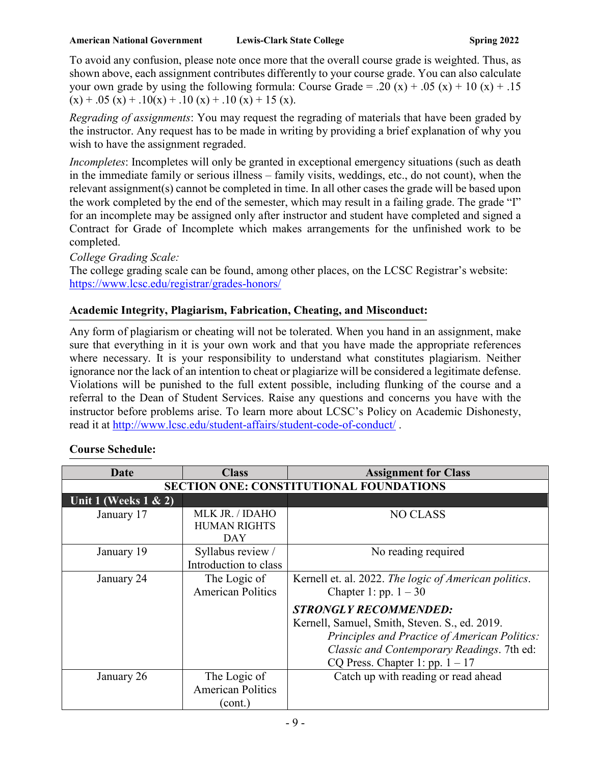To avoid any confusion, please note once more that the overall course grade is weighted. Thus, as shown above, each assignment contributes differently to your course grade. You can also calculate your own grade by using the following formula: Course Grade = .20 (x) + .05 (x) + 10 (x) + .15  $(x) + .05 (x) + .10(x) + .10 (x) + .10 (x) + .10 (x) + 15 (x).$ 

*Regrading of assignments*: You may request the regrading of materials that have been graded by the instructor. Any request has to be made in writing by providing a brief explanation of why you wish to have the assignment regraded.

*Incompletes*: Incompletes will only be granted in exceptional emergency situations (such as death in the immediate family or serious illness – family visits, weddings, etc., do not count), when the relevant assignment(s) cannot be completed in time. In all other cases the grade will be based upon the work completed by the end of the semester, which may result in a failing grade. The grade "I" for an incomplete may be assigned only after instructor and student have completed and signed a Contract for Grade of Incomplete which makes arrangements for the unfinished work to be completed.

*College Grading Scale:*  The college grading scale can be found, among other places, on the LCSC Registrar's website: <https://www.lcsc.edu/registrar/grades-honors/>

#### **Academic Integrity, Plagiarism, Fabrication, Cheating, and Misconduct: \_\_\_\_\_\_\_\_\_\_\_\_\_\_\_\_\_\_\_\_\_\_\_\_\_\_\_\_\_\_\_\_\_\_\_\_\_\_\_\_\_\_\_\_\_\_\_\_\_\_\_\_\_\_\_\_\_\_\_\_\_\_\_\_\_\_\_\_\_\_\_\_\_\_\_\_\_\_\_\_\_\_\_\_\_\_\_\_\_\_\_\_\_\_\_\_\_\_\_\_\_\_\_\_\_\_\_\_\_\_\_\_\_\_\_\_\_\_\_\_\_\_\_\_\_\_\_\_\_\_\_\_\_\_\_\_\_\_\_\_\_\_\_\_\_\_\_\_\_\_\_\_\_\_\_\_\_\_\_\_\_\_\_\_\_\_\_\_\_\_\_\_\_\_\_\_\_\_\_\_\_\_\_\_\_\_\_\_\_\_\_\_\_\_\_\_\_\_\_\_\_\_\_\_\_\_\_\_\_\_\_\_\_\_\_\_\_\_\_\_\_\_\_\_\_\_\_\_\_\_\_\_\_\_\_\_\_\_\_\_\_\_\_\_\_\_\_**

Any form of plagiarism or cheating will not be tolerated. When you hand in an assignment, make sure that everything in it is your own work and that you have made the appropriate references where necessary. It is your responsibility to understand what constitutes plagiarism. Neither ignorance nor the lack of an intention to cheat or plagiarize will be considered a legitimate defense. Violations will be punished to the full extent possible, including flunking of the course and a referral to the Dean of Student Services. Raise any questions and concerns you have with the instructor before problems arise. To learn more about LCSC's Policy on Academic Dishonesty, read it at<http://www.lcsc.edu/student-affairs/student-code-of-conduct/> .

| Date                                           | <b>Class</b>                           | <b>Assignment for Class</b>                           |  |
|------------------------------------------------|----------------------------------------|-------------------------------------------------------|--|
| <b>SECTION ONE: CONSTITUTIONAL FOUNDATIONS</b> |                                        |                                                       |  |
| Unit 1 (Weeks $1 \& 2$ )                       |                                        |                                                       |  |
| January 17                                     | MLK JR. / IDAHO<br><b>HUMAN RIGHTS</b> | <b>NO CLASS</b>                                       |  |
|                                                | DAY                                    |                                                       |  |
| January 19                                     | Syllabus review /                      | No reading required                                   |  |
|                                                | Introduction to class                  |                                                       |  |
| January 24                                     | The Logic of                           | Kernell et. al. 2022. The logic of American politics. |  |
|                                                | <b>American Politics</b>               | Chapter 1: pp. $1 - 30$                               |  |
|                                                |                                        | <b>STRONGLY RECOMMENDED:</b>                          |  |
|                                                |                                        | Kernell, Samuel, Smith, Steven. S., ed. 2019.         |  |
|                                                |                                        | Principles and Practice of American Politics:         |  |
|                                                |                                        | Classic and Contemporary Readings. 7th ed:            |  |
|                                                |                                        | CQ Press. Chapter 1: pp. $1 - 17$                     |  |
| January 26                                     | The Logic of                           | Catch up with reading or read ahead                   |  |
|                                                | <b>American Politics</b>               |                                                       |  |
|                                                | (cont.)                                |                                                       |  |

#### **Course Schedule: \_\_\_\_\_\_\_\_\_\_\_\_\_\_\_\_\_\_\_\_\_\_\_\_\_\_\_\_\_\_\_\_\_\_\_\_\_\_\_\_\_\_\_\_\_\_\_\_\_\_\_\_\_\_\_\_\_**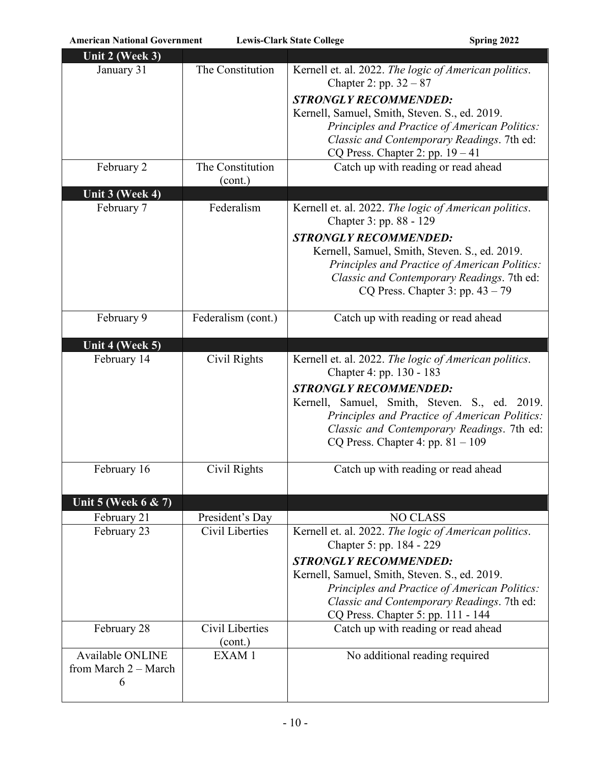| Unit 2 (Week 3)         |                    |                                                                                             |
|-------------------------|--------------------|---------------------------------------------------------------------------------------------|
| January 31              | The Constitution   | Kernell et. al. 2022. The logic of American politics.<br>Chapter 2: pp. $32 - 87$           |
|                         |                    | <b>STRONGLY RECOMMENDED:</b>                                                                |
|                         |                    | Kernell, Samuel, Smith, Steven. S., ed. 2019.                                               |
|                         |                    | Principles and Practice of American Politics:<br>Classic and Contemporary Readings. 7th ed: |
|                         |                    | CQ Press. Chapter 2: pp. $19 - 41$                                                          |
| February 2              | The Constitution   | Catch up with reading or read ahead                                                         |
|                         | (cont.)            |                                                                                             |
| Unit 3 (Week 4)         |                    |                                                                                             |
| February 7              | Federalism         | Kernell et. al. 2022. The logic of American politics.<br>Chapter 3: pp. 88 - 129            |
|                         |                    | <b>STRONGLY RECOMMENDED:</b>                                                                |
|                         |                    | Kernell, Samuel, Smith, Steven. S., ed. 2019.                                               |
|                         |                    | Principles and Practice of American Politics:                                               |
|                         |                    | Classic and Contemporary Readings. 7th ed:                                                  |
|                         |                    | CQ Press. Chapter 3: pp. $43 - 79$                                                          |
| February 9              | Federalism (cont.) | Catch up with reading or read ahead                                                         |
|                         |                    |                                                                                             |
| Unit 4 (Week 5)         |                    |                                                                                             |
| February 14             | Civil Rights       | Kernell et. al. 2022. The logic of American politics.<br>Chapter 4: pp. 130 - 183           |
|                         |                    | <b>STRONGLY RECOMMENDED:</b>                                                                |
|                         |                    | Kernell, Samuel, Smith, Steven. S., ed. 2019.                                               |
|                         |                    | Principles and Practice of American Politics:                                               |
|                         |                    | Classic and Contemporary Readings. 7th ed:                                                  |
|                         |                    | CQ Press. Chapter 4: pp. $81 - 109$                                                         |
| February 16             | Civil Rights       | Catch up with reading or read ahead                                                         |
|                         |                    |                                                                                             |
| Unit 5 (Week 6 & 7)     |                    |                                                                                             |
| February 21             | President's Day    | <b>NO CLASS</b>                                                                             |
| February 23             | Civil Liberties    | Kernell et. al. 2022. The logic of American politics.                                       |
|                         |                    | Chapter 5: pp. 184 - 229                                                                    |
|                         |                    | <b>STRONGLY RECOMMENDED:</b>                                                                |
|                         |                    | Kernell, Samuel, Smith, Steven. S., ed. 2019.                                               |
|                         |                    | Principles and Practice of American Politics:                                               |
|                         |                    | Classic and Contemporary Readings. 7th ed:                                                  |
| February 28             | Civil Liberties    | CQ Press. Chapter 5: pp. 111 - 144<br>Catch up with reading or read ahead                   |
|                         | (cont.)            |                                                                                             |
| <b>Available ONLINE</b> | EXAM1              | No additional reading required                                                              |
| from March $2 -$ March  |                    |                                                                                             |
| 6                       |                    |                                                                                             |
|                         |                    |                                                                                             |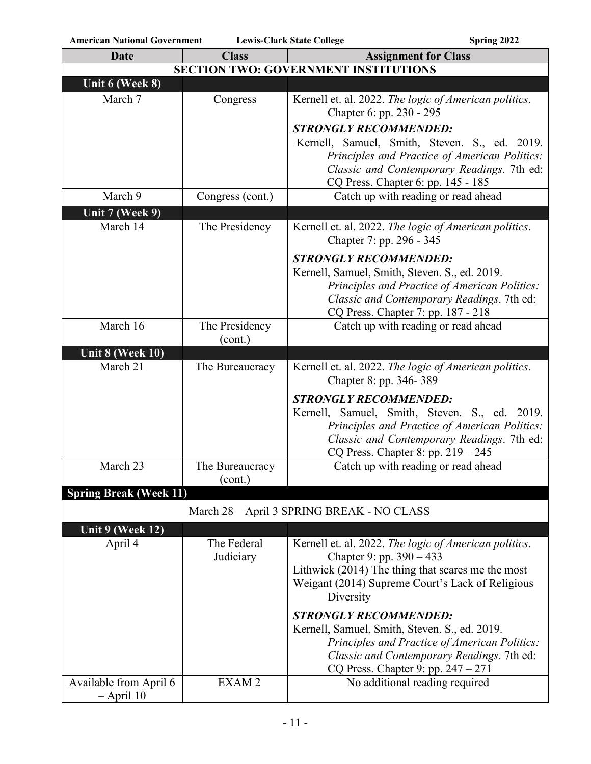| <b>Date</b>                   | <b>Class</b>                                | <b>Assignment for Class</b>                                                         |  |  |
|-------------------------------|---------------------------------------------|-------------------------------------------------------------------------------------|--|--|
|                               | <b>SECTION TWO: GOVERNMENT INSTITUTIONS</b> |                                                                                     |  |  |
| Unit 6 (Week 8)               |                                             |                                                                                     |  |  |
| March 7                       | Congress                                    | Kernell et. al. 2022. The logic of American politics.                               |  |  |
|                               |                                             | Chapter 6: pp. 230 - 295                                                            |  |  |
|                               |                                             | <b>STRONGLY RECOMMENDED:</b>                                                        |  |  |
|                               |                                             | Kernell, Samuel, Smith, Steven. S., ed. 2019.                                       |  |  |
|                               |                                             | Principles and Practice of American Politics:                                       |  |  |
|                               |                                             | Classic and Contemporary Readings. 7th ed:                                          |  |  |
| March 9                       | Congress (cont.)                            | CQ Press. Chapter 6: pp. 145 - 185<br>Catch up with reading or read ahead           |  |  |
| Unit 7 (Week 9)               |                                             |                                                                                     |  |  |
| March 14                      | The Presidency                              | Kernell et. al. 2022. The logic of American politics.                               |  |  |
|                               |                                             | Chapter 7: pp. 296 - 345                                                            |  |  |
|                               |                                             | <b>STRONGLY RECOMMENDED:</b>                                                        |  |  |
|                               |                                             | Kernell, Samuel, Smith, Steven. S., ed. 2019.                                       |  |  |
|                               |                                             | Principles and Practice of American Politics:                                       |  |  |
|                               |                                             | Classic and Contemporary Readings. 7th ed:                                          |  |  |
|                               |                                             | CQ Press. Chapter 7: pp. 187 - 218                                                  |  |  |
| March 16                      | The Presidency                              | Catch up with reading or read ahead                                                 |  |  |
| Unit 8 (Week 10)              | (cont.)                                     |                                                                                     |  |  |
| March 21                      | The Bureaucracy                             | Kernell et. al. 2022. The logic of American politics.                               |  |  |
|                               |                                             | Chapter 8: pp. 346-389                                                              |  |  |
|                               |                                             | <b>STRONGLY RECOMMENDED:</b>                                                        |  |  |
|                               |                                             | Kernell, Samuel, Smith, Steven. S., ed. 2019.                                       |  |  |
|                               |                                             | Principles and Practice of American Politics:                                       |  |  |
|                               |                                             | Classic and Contemporary Readings. 7th ed:                                          |  |  |
| March 23                      | The Bureaucracy                             | CQ Press. Chapter 8: pp. $219 - 245$                                                |  |  |
|                               | (cont.)                                     | Catch up with reading or read ahead                                                 |  |  |
| <b>Spring Break (Week 11)</b> |                                             |                                                                                     |  |  |
|                               |                                             |                                                                                     |  |  |
|                               |                                             | March 28 - April 3 SPRING BREAK - NO CLASS                                          |  |  |
| Unit 9 (Week 12)              |                                             |                                                                                     |  |  |
| April 4                       | The Federal<br>Judiciary                    | Kernell et. al. 2022. The logic of American politics.<br>Chapter 9: pp. $390 - 433$ |  |  |
|                               |                                             | Lithwick (2014) The thing that scares me the most                                   |  |  |
|                               |                                             | Weigant (2014) Supreme Court's Lack of Religious                                    |  |  |
|                               |                                             | Diversity                                                                           |  |  |
|                               |                                             | <b>STRONGLY RECOMMENDED:</b>                                                        |  |  |
|                               |                                             | Kernell, Samuel, Smith, Steven. S., ed. 2019.                                       |  |  |
|                               |                                             | Principles and Practice of American Politics:                                       |  |  |
|                               |                                             | Classic and Contemporary Readings. 7th ed:                                          |  |  |
|                               |                                             | CQ Press. Chapter 9: pp. $247 - 271$                                                |  |  |
| Available from April 6        | EXAM <sub>2</sub>                           | No additional reading required                                                      |  |  |
| $-$ April 10                  |                                             |                                                                                     |  |  |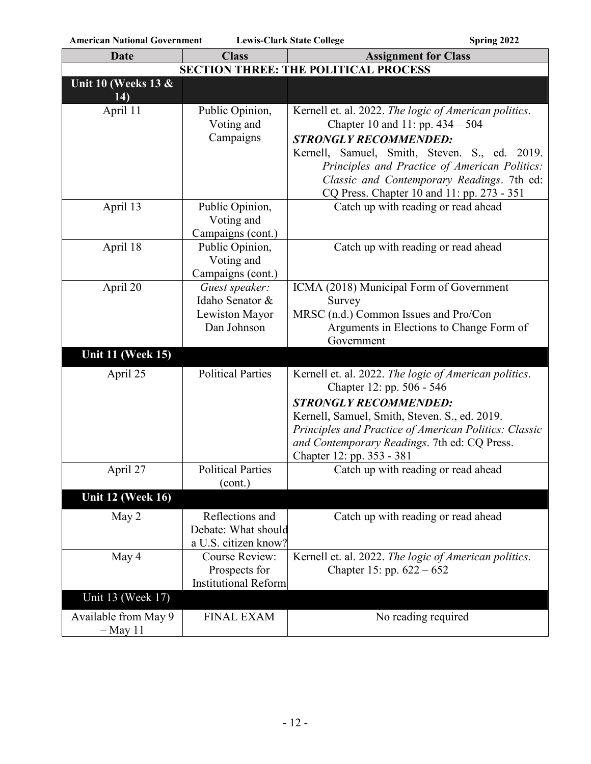| <b>Date</b>                        | <b>Class</b>                        | <b>Assignment for Class</b>                                                              |
|------------------------------------|-------------------------------------|------------------------------------------------------------------------------------------|
|                                    |                                     | <b>SECTION THREE: THE POLITICAL PROCESS</b>                                              |
| Unit 10 (Weeks 13 &<br>14)         |                                     |                                                                                          |
| April 11                           | Public Opinion,                     | Kernell et. al. 2022. The logic of American politics.                                    |
|                                    | Voting and                          | Chapter 10 and 11: pp. $434 - 504$                                                       |
|                                    | Campaigns                           | <b>STRONGLY RECOMMENDED:</b>                                                             |
|                                    |                                     | Kernell, Samuel, Smith, Steven. S., ed. 2019.                                            |
|                                    |                                     | Principles and Practice of American Politics:                                            |
|                                    |                                     | Classic and Contemporary Readings. 7th ed:<br>CQ Press. Chapter 10 and 11: pp. 273 - 351 |
| April 13                           | Public Opinion,                     | Catch up with reading or read ahead                                                      |
|                                    | Voting and                          |                                                                                          |
|                                    | Campaigns (cont.)                   |                                                                                          |
| April 18                           | Public Opinion,<br>Voting and       | Catch up with reading or read ahead                                                      |
|                                    | Campaigns (cont.)                   |                                                                                          |
| April 20                           | Guest speaker:                      | ICMA (2018) Municipal Form of Government                                                 |
|                                    | Idaho Senator &                     | Survey                                                                                   |
|                                    | Lewiston Mayor                      | MRSC (n.d.) Common Issues and Pro/Con                                                    |
|                                    | Dan Johnson                         | Arguments in Elections to Change Form of                                                 |
|                                    |                                     | Government                                                                               |
| <b>Unit 11 (Week 15)</b>           |                                     |                                                                                          |
| April 25                           | <b>Political Parties</b>            | Kernell et. al. 2022. The logic of American politics.<br>Chapter 12: pp. 506 - 546       |
|                                    |                                     | <b>STRONGLY RECOMMENDED:</b>                                                             |
|                                    |                                     | Kernell, Samuel, Smith, Steven. S., ed. 2019.                                            |
|                                    |                                     | Principles and Practice of American Politics: Classic                                    |
|                                    |                                     | and Contemporary Readings. 7th ed: CQ Press.                                             |
|                                    |                                     | Chapter 12: pp. 353 - 381                                                                |
| April 27                           | <b>Political Parties</b><br>(cont.) | Catch up with reading or read ahead                                                      |
| <b>Unit 12 (Week 16)</b>           |                                     |                                                                                          |
| May 2                              | Reflections and                     | Catch up with reading or read ahead                                                      |
|                                    | Debate: What should                 |                                                                                          |
|                                    | a U.S. citizen know?                |                                                                                          |
| May 4                              | Course Review:                      | Kernell et. al. 2022. The logic of American politics.                                    |
|                                    | Prospects for                       | Chapter 15: pp. $622 - 652$                                                              |
| Unit 13 (Week 17)                  | <b>Institutional Reform</b>         |                                                                                          |
|                                    |                                     |                                                                                          |
| Available from May 9<br>$-$ May 11 | <b>FINAL EXAM</b>                   | No reading required                                                                      |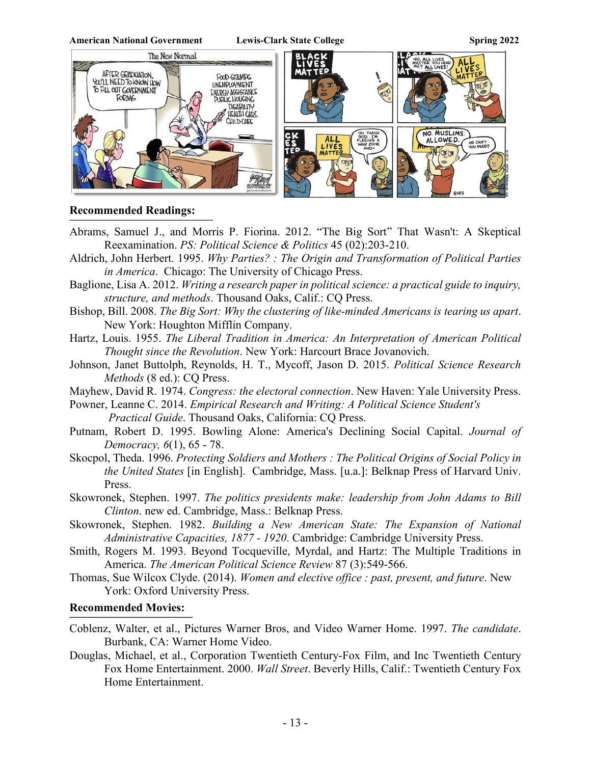

### **Recommended Readings:**

- Abrams, Samuel J., and Morris P. Fiorina. 2012. "The Big Sort" That Wasn't: A Skeptical Reexamination. *PS: Political Science & Politics* 45 (02):203-210.
- Aldrich, John Herbert. 1995. *Why Parties? : The Origin and Transformation of Political Parties in America*. Chicago: The University of Chicago Press.
- Baglione, Lisa A. 2012. *Writing a research paper in political science: a practical guide to inquiry, structure, and methods*. Thousand Oaks, Calif.: CQ Press.
- Bishop, Bill. 2008. *The Big Sort: Why the clustering of like-minded Americans is tearing us apart*. New York: Houghton Mifflin Company.

Hartz, Louis. 1955. *The Liberal Tradition in America: An Interpretation of American Political Thought since the Revolution*. New York: Harcourt Brace Jovanovich.

- Johnson, Janet Buttolph, Reynolds, H. T., Mycoff, Jason D. 2015. *Political Science Research Methods* (8 ed.): CQ Press.
- Mayhew, David R. 1974. *Congress: the electoral connection*. New Haven: Yale University Press.

Powner, Leanne C. 2014. *Empirical Research and Writing: A Political Science Student's Practical Guide*. Thousand Oaks, California: CQ Press.

- Putnam, Robert D. 1995. Bowling Alone: America's Declining Social Capital. *Journal of Democracy, 6*(1), 65 - 78.
- Skocpol, Theda. 1996. *Protecting Soldiers and Mothers : The Political Origins of Social Policy in the United States* [in English]. Cambridge, Mass. [u.a.]: Belknap Press of Harvard Univ. Press.
- Skowronek, Stephen. 1997. *The politics presidents make: leadership from John Adams to Bill Clinton*. new ed. Cambridge, Mass.: Belknap Press.
- Skowronek, Stephen. 1982. *Building a New American State: The Expansion of National Administrative Capacities, 1877 - 1920*. Cambridge: Cambridge University Press.
- Smith, Rogers M. 1993. Beyond Tocqueville, Myrdal, and Hartz: The Multiple Traditions in America. *The American Political Science Review* 87 (3):549-566.
- Thomas, Sue Wilcox Clyde. (2014). *Women and elective office : past, present, and future*. New York: Oxford University Press.

#### **Recommended Movies:**  $\mathcal{L}_\mathcal{L}$

- Coblenz, Walter, et al., Pictures Warner Bros, and Video Warner Home. 1997. *The candidate*. Burbank, CA: Warner Home Video.
- Douglas, Michael, et al., Corporation Twentieth Century-Fox Film, and Inc Twentieth Century Fox Home Entertainment. 2000. *Wall Street*. Beverly Hills, Calif.: Twentieth Century Fox Home Entertainment.